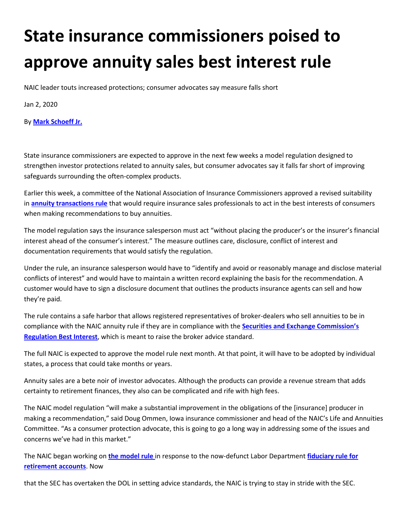## **State insurance commissioners poised to approve annuity sales best interest rule**

NAIC leader touts increased protections; consumer advocates say measure falls short

Jan 2, 2020

## By **[Mark Schoeff Jr.](https://www.investmentnews.com/author/mschoeff)**

State insurance commissioners are expected to approve in the next few weeks a model regulation designed to strengthen investor protections related to annuity sales, but consumer advocates say it falls far short of improving safeguards surrounding the often-complex products.

Earlier this week, a committee of the National Association of Insurance Commissioners approved a revised suitability in **[annuity transactions rule](https://content.naic.org/sites/default/files/inlinefiles/Model%20%23275-8%20Draft.pdf)** that would require insurance sales professionals to act in the best interests of consumers when making recommendations to buy annuities.

The model regulation says the insurance salesperson must act "without placing the producer's or the insurer's financial interest ahead of the consumer's interest." The measure outlines care, disclosure, conflict of interest and documentation requirements that would satisfy the regulation.

Under the rule, an insurance salesperson would have to "identify and avoid or reasonably manage and disclose material conflicts of interest" and would have to maintain a written record explaining the basis for the recommendation. A customer would have to sign a disclosure document that outlines the products insurance agents can sell and how they're paid.

The rule contains a safe harbor that allows registered representatives of broker-dealers who sell annuities to be in compliance with the NAIC annuity rule if they are in compliance with the **Securities and Exch[ange Commission's](https://www.sec.gov/rules/final/2019/34-86031.pdf)  [Regulation Best Interest](https://www.sec.gov/rules/final/2019/34-86031.pdf)**, which is meant to raise the broker advice standard.

The full NAIC is expected to approve the model rule next month. At that point, it will have to be adopted by individual states, a process that could take months or years.

Annuity sales are a bete noir of investor advocates. Although the products can provide a revenue stream that adds certainty to retirement finances, they also can be complicated and rife with high fees.

The NAIC model regulation "will make a substantial improvement in the obligations of the [insurance] producer in making a recommendation," said Doug Ommen, Iowa insurance commissioner and head of the NAIC's Life and Annuities Committee. "As a consumer protection advocate, this is going to go a long way in addressing some of the issues and concerns we've had in this market."

The NAIC began working on **[the model rule](https://www.investmentnews.com/article/20191107/FREE/191109947)** in response to the now-defunct Labor Department **[fiduciary rule for](https://www.investmentnews.com/article/20180621/FREE/180629985)  [retirement accounts](https://www.investmentnews.com/article/20180621/FREE/180629985)**. Now

that the SEC has overtaken the DOL in setting advice standards, the NAIC is trying to stay in stride with the SEC.